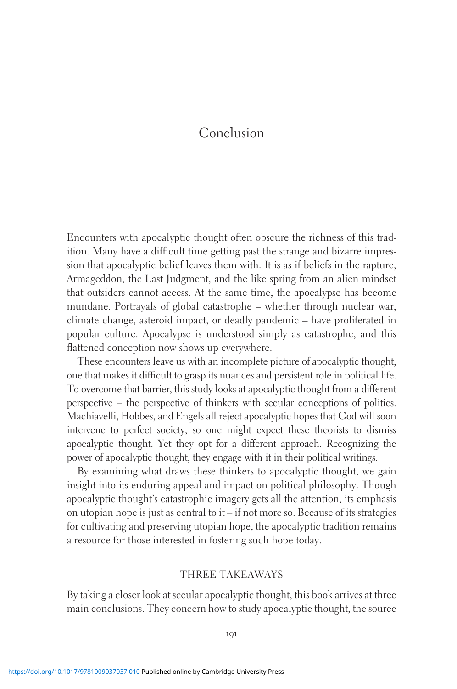## Conclusion

Encounters with apocalyptic thought often obscure the richness of this tradition. Many have a difficult time getting past the strange and bizarre impression that apocalyptic belief leaves them with. It is as if beliefs in the rapture, Armageddon, the Last Judgment, and the like spring from an alien mindset that outsiders cannot access. At the same time, the apocalypse has become mundane. Portrayals of global catastrophe – whether through nuclear war, climate change, asteroid impact, or deadly pandemic – have proliferated in popular culture. Apocalypse is understood simply as catastrophe, and this flattened conception now shows up everywhere.

These encounters leave us with an incomplete picture of apocalyptic thought, one that makes it difficult to grasp its nuances and persistent role in political life. To overcome that barrier, this study looks at apocalyptic thought from a different perspective – the perspective of thinkers with secular conceptions of politics. Machiavelli, Hobbes, and Engels all reject apocalyptic hopes that God will soon intervene to perfect society, so one might expect these theorists to dismiss apocalyptic thought. Yet they opt for a different approach. Recognizing the power of apocalyptic thought, they engage with it in their political writings.

By examining what draws these thinkers to apocalyptic thought, we gain insight into its enduring appeal and impact on political philosophy. Though apocalyptic thought's catastrophic imagery gets all the attention, its emphasis on utopian hope is just as central to it – if not more so. Because of its strategies for cultivating and preserving utopian hope, the apocalyptic tradition remains a resource for those interested in fostering such hope today.

## THREE TAKEAWAYS

By taking a closer look at secular apocalyptic thought, this book arrives at three main conclusions. They concern how to study apocalyptic thought, the source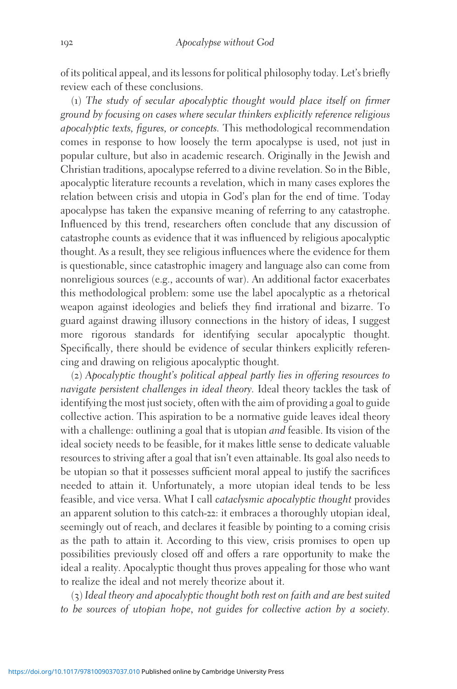of its political appeal, and its lessons for political philosophy today. Let's briefly review each of these conclusions.

(1) The study of secular apocalyptic thought would place itself on firmer ground by focusing on cases where secular thinkers explicitly reference religious apocalyptic texts, figures, or concepts. This methodological recommendation comes in response to how loosely the term apocalypse is used, not just in popular culture, but also in academic research. Originally in the Jewish and Christian traditions, apocalypse referred to a divine revelation. So in the Bible, apocalyptic literature recounts a revelation, which in many cases explores the relation between crisis and utopia in God's plan for the end of time. Today apocalypse has taken the expansive meaning of referring to any catastrophe. Influenced by this trend, researchers often conclude that any discussion of catastrophe counts as evidence that it was influenced by religious apocalyptic thought. As a result, they see religious influences where the evidence for them is questionable, since catastrophic imagery and language also can come from nonreligious sources (e.g., accounts of war). An additional factor exacerbates this methodological problem: some use the label apocalyptic as a rhetorical weapon against ideologies and beliefs they find irrational and bizarre. To guard against drawing illusory connections in the history of ideas, I suggest more rigorous standards for identifying secular apocalyptic thought. Specifically, there should be evidence of secular thinkers explicitly referencing and drawing on religious apocalyptic thought.

(2) Apocalyptic thought's political appeal partly lies in offering resources to navigate persistent challenges in ideal theory. Ideal theory tackles the task of identifying the most just society, often with the aim of providing a goal to guide collective action. This aspiration to be a normative guide leaves ideal theory with a challenge: outlining a goal that is utopian *and* feasible. Its vision of the ideal society needs to be feasible, for it makes little sense to dedicate valuable resources to striving after a goal that isn't even attainable. Its goal also needs to be utopian so that it possesses sufficient moral appeal to justify the sacrifices needed to attain it. Unfortunately, a more utopian ideal tends to be less feasible, and vice versa. What I call cataclysmic apocalyptic thought provides an apparent solution to this catch-22: it embraces a thoroughly utopian ideal, seemingly out of reach, and declares it feasible by pointing to a coming crisis as the path to attain it. According to this view, crisis promises to open up possibilities previously closed off and offers a rare opportunity to make the ideal a reality. Apocalyptic thought thus proves appealing for those who want to realize the ideal and not merely theorize about it.

(3) Ideal theory and apocalyptic thought both rest on faith and are best suited to be sources of utopian hope, not guides for collective action by a society.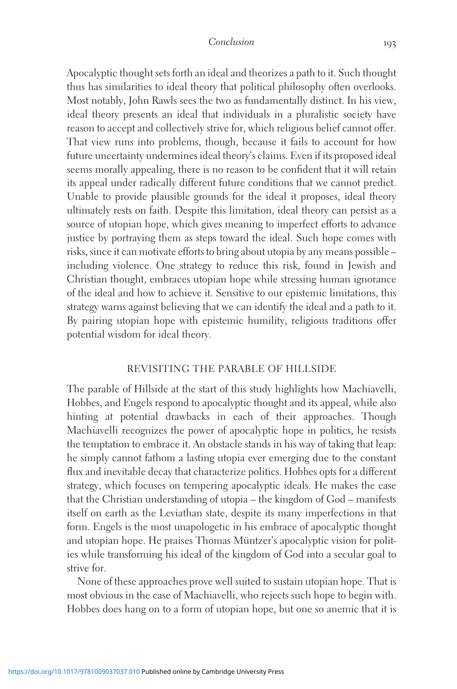Apocalyptic thought sets forth an ideal and theorizes a path to it. Such thought thus has similarities to ideal theory that political philosophy often overlooks. Most notably, John Rawls sees the two as fundamentally distinct. In his view, ideal theory presents an ideal that individuals in a pluralistic society have reason to accept and collectively strive for, which religious belief cannot offer. That view runs into problems, though, because it fails to account for how future uncertainty undermines ideal theory's claims. Even if its proposed ideal seems morally appealing, there is no reason to be confident that it will retain its appeal under radically different future conditions that we cannot predict. Unable to provide plausible grounds for the ideal it proposes, ideal theory ultimately rests on faith. Despite this limitation, ideal theory can persist as a source of utopian hope, which gives meaning to imperfect efforts to advance justice by portraying them as steps toward the ideal. Such hope comes with risks, since it can motivate efforts to bring about utopia by any means possible – including violence. One strategy to reduce this risk, found in Jewish and Christian thought, embraces utopian hope while stressing human ignorance of the ideal and how to achieve it. Sensitive to our epistemic limitations, this strategy warns against believing that we can identify the ideal and a path to it. By pairing utopian hope with epistemic humility, religious traditions offer potential wisdom for ideal theory.

## REVISITING THE PARABLE OF HILLSIDE

The parable of Hillside at the start of this study highlights how Machiavelli, Hobbes, and Engels respond to apocalyptic thought and its appeal, while also hinting at potential drawbacks in each of their approaches. Though Machiavelli recognizes the power of apocalyptic hope in politics, he resists the temptation to embrace it. An obstacle stands in his way of taking that leap: he simply cannot fathom a lasting utopia ever emerging due to the constant flux and inevitable decay that characterize politics. Hobbes opts for a different strategy, which focuses on tempering apocalyptic ideals. He makes the case that the Christian understanding of utopia – the kingdom of God – manifests itself on earth as the Leviathan state, despite its many imperfections in that form. Engels is the most unapologetic in his embrace of apocalyptic thought and utopian hope. He praises Thomas Müntzer's apocalyptic vision for politics while transforming his ideal of the kingdom of God into a secular goal to strive for.

None of these approaches prove well suited to sustain utopian hope. That is most obvious in the case of Machiavelli, who rejects such hope to begin with. Hobbes does hang on to a form of utopian hope, but one so anemic that it is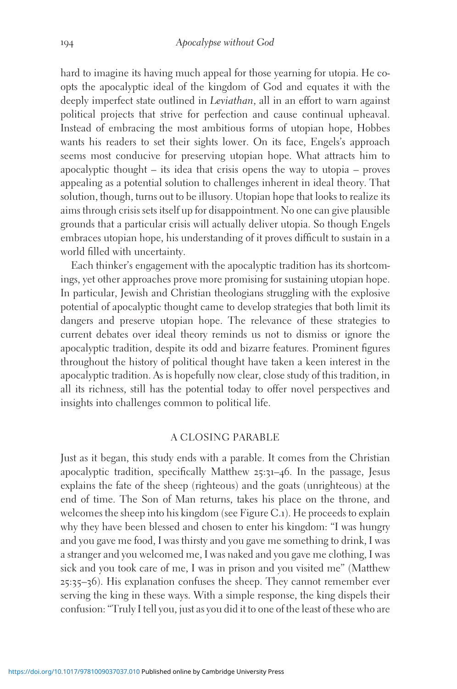hard to imagine its having much appeal for those yearning for utopia. He coopts the apocalyptic ideal of the kingdom of God and equates it with the deeply imperfect state outlined in *Leviathan*, all in an effort to warn against political projects that strive for perfection and cause continual upheaval. Instead of embracing the most ambitious forms of utopian hope, Hobbes wants his readers to set their sights lower. On its face, Engels's approach seems most conducive for preserving utopian hope. What attracts him to apocalyptic thought – its idea that crisis opens the way to utopia – proves appealing as a potential solution to challenges inherent in ideal theory. That solution, though, turns out to be illusory. Utopian hope that looks to realize its aims through crisis sets itself up for disappointment. No one can give plausible grounds that a particular crisis will actually deliver utopia. So though Engels embraces utopian hope, his understanding of it proves difficult to sustain in a world filled with uncertainty.

Each thinker's engagement with the apocalyptic tradition has its shortcomings, yet other approaches prove more promising for sustaining utopian hope. In particular, Jewish and Christian theologians struggling with the explosive potential of apocalyptic thought came to develop strategies that both limit its dangers and preserve utopian hope. The relevance of these strategies to current debates over ideal theory reminds us not to dismiss or ignore the apocalyptic tradition, despite its odd and bizarre features. Prominent figures throughout the history of political thought have taken a keen interest in the apocalyptic tradition. As is hopefully now clear, close study of this tradition, in all its richness, still has the potential today to offer novel perspectives and insights into challenges common to political life.

## A CLOSING PARABLE

Just as it began, this study ends with a parable. It comes from the Christian apocalyptic tradition, specifically Matthew 25:31–46. In the passage, Jesus explains the fate of the sheep (righteous) and the goats (unrighteous) at the end of time. The Son of Man returns, takes his place on the throne, and welcomes the sheep into his kingdom (see Figure C.1). He proceeds to explain why they have been blessed and chosen to enter his kingdom: "I was hungry and you gave me food, I was thirsty and you gave me something to drink, I was a stranger and you welcomed me, I was naked and you gave me clothing, I was sick and you took care of me, I was in prison and you visited me" (Matthew 25:35–36). His explanation confuses the sheep. They cannot remember ever serving the king in these ways. With a simple response, the king dispels their confusion: "Truly I tell you, just as you did it to one of the least of these who are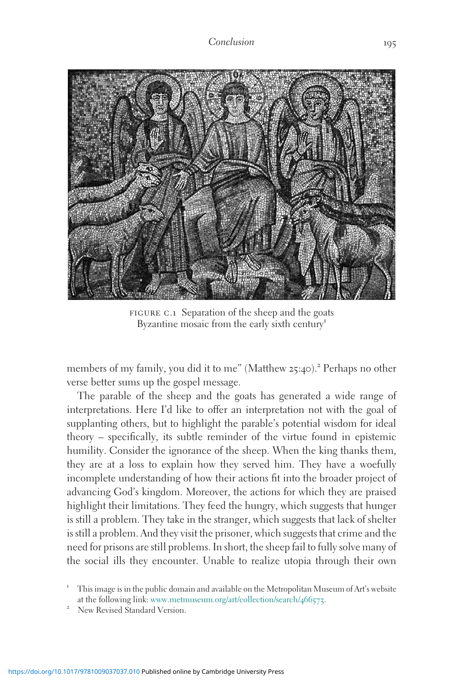

FIGURE C.1 Separation of the sheep and the goats Byzantine mosaic from the early sixth century<sup>1</sup>

members of my family, you did it to me" (Matthew 25:40).<sup>2</sup> Perhaps no other verse better sums up the gospel message.

The parable of the sheep and the goats has generated a wide range of interpretations. Here I'd like to offer an interpretation not with the goal of supplanting others, but to highlight the parable's potential wisdom for ideal theory – specifically, its subtle reminder of the virtue found in epistemic humility. Consider the ignorance of the sheep. When the king thanks them, they are at a loss to explain how they served him. They have a woefully incomplete understanding of how their actions fit into the broader project of advancing God's kingdom. Moreover, the actions for which they are praised highlight their limitations. They feed the hungry, which suggests that hunger is still a problem. They take in the stranger, which suggests that lack of shelter is still a problem. And they visit the prisoner, which suggests that crime and the need for prisons are still problems. In short, the sheep fail to fully solve many of the social ills they encounter. Unable to realize utopia through their own

<sup>1</sup> This image is in the public domain and available on the Metropolitan Museum of Art's website at the following link: [www.metmuseum.org/art/collection/search/](http://www.metmuseum.org/art/collection/search/466573)466573.<br>New Revised Standard Version.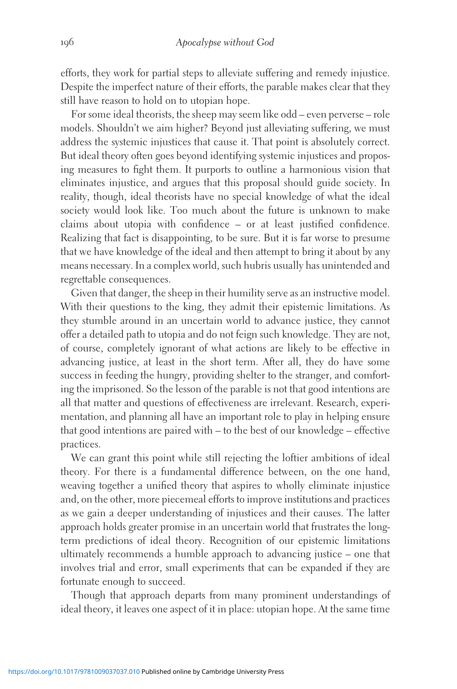efforts, they work for partial steps to alleviate suffering and remedy injustice. Despite the imperfect nature of their efforts, the parable makes clear that they still have reason to hold on to utopian hope.

For some ideal theorists, the sheep may seem like odd – even perverse – role models. Shouldn't we aim higher? Beyond just alleviating suffering, we must address the systemic injustices that cause it. That point is absolutely correct. But ideal theory often goes beyond identifying systemic injustices and proposing measures to fight them. It purports to outline a harmonious vision that eliminates injustice, and argues that this proposal should guide society. In reality, though, ideal theorists have no special knowledge of what the ideal society would look like. Too much about the future is unknown to make claims about utopia with confidence – or at least justified confidence. Realizing that fact is disappointing, to be sure. But it is far worse to presume that we have knowledge of the ideal and then attempt to bring it about by any means necessary. In a complex world, such hubris usually has unintended and regrettable consequences.

Given that danger, the sheep in their humility serve as an instructive model. With their questions to the king, they admit their epistemic limitations. As they stumble around in an uncertain world to advance justice, they cannot offer a detailed path to utopia and do not feign such knowledge. They are not, of course, completely ignorant of what actions are likely to be effective in advancing justice, at least in the short term. After all, they do have some success in feeding the hungry, providing shelter to the stranger, and comforting the imprisoned. So the lesson of the parable is not that good intentions are all that matter and questions of effectiveness are irrelevant. Research, experimentation, and planning all have an important role to play in helping ensure that good intentions are paired with – to the best of our knowledge – effective practices.

We can grant this point while still rejecting the loftier ambitions of ideal theory. For there is a fundamental difference between, on the one hand, weaving together a unified theory that aspires to wholly eliminate injustice and, on the other, more piecemeal efforts to improve institutions and practices as we gain a deeper understanding of injustices and their causes. The latter approach holds greater promise in an uncertain world that frustrates the longterm predictions of ideal theory. Recognition of our epistemic limitations ultimately recommends a humble approach to advancing justice – one that involves trial and error, small experiments that can be expanded if they are fortunate enough to succeed.

Though that approach departs from many prominent understandings of ideal theory, it leaves one aspect of it in place: utopian hope. At the same time